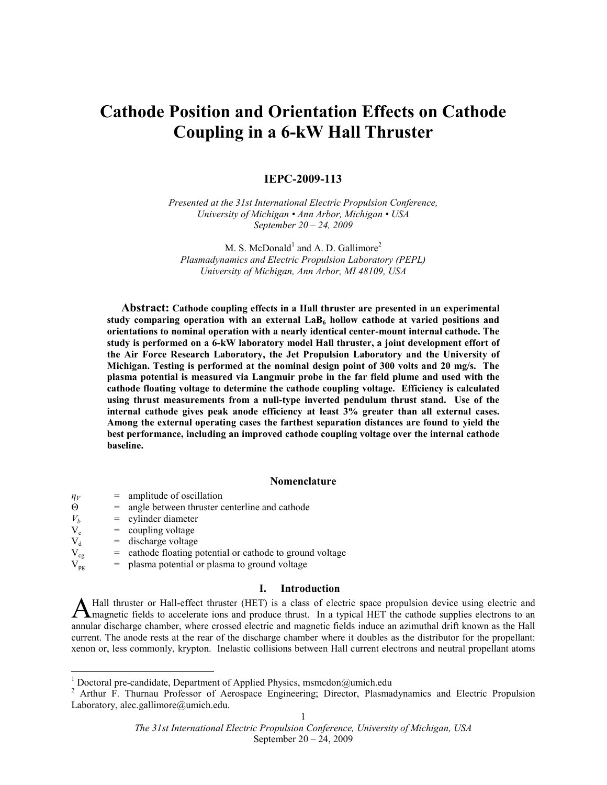# Cathode Position and Orientation Effects on Cathode Coupling in a 6-kW Hall Thruster

# IEPC-2009-113

Presented at the 31st International Electric Propulsion Conference, University of Michigan • Ann Arbor, Michigan • USA September 20 – 24, 2009

M. S. McDonald<sup>1</sup> and A. D. Gallimore<sup>2</sup> Plasmadynamics and Electric Propulsion Laboratory (PEPL) University of Michigan, Ann Arbor, MI 48109, USA

Abstract: Cathode coupling effects in a Hall thruster are presented in an experimental study comparing operation with an external  $\text{LaB}_6$  hollow cathode at varied positions and orientations to nominal operation with a nearly identical center-mount internal cathode. The study is performed on a 6-kW laboratory model Hall thruster, a joint development effort of the Air Force Research Laboratory, the Jet Propulsion Laboratory and the University of Michigan. Testing is performed at the nominal design point of 300 volts and 20 mg/s. The plasma potential is measured via Langmuir probe in the far field plume and used with the cathode floating voltage to determine the cathode coupling voltage. Efficiency is calculated using thrust measurements from a null-type inverted pendulum thrust stand. Use of the internal cathode gives peak anode efficiency at least 3% greater than all external cases. Among the external operating cases the farthest separation distances are found to yield the best performance, including an improved cathode coupling voltage over the internal cathode baseline.

# Nomenclature

| $n_V$    | $=$ amplitude of oscillation                              |
|----------|-----------------------------------------------------------|
| Θ        | = angle between thruster centerline and cathode           |
| $V_b$    | $=$ cylinder diameter                                     |
| $V_c$    | $=$ coupling voltage                                      |
| $V_{d}$  | $=$ discharge voltage                                     |
| $V_{cg}$ | = cathode floating potential or cathode to ground voltage |
| $V_{pg}$ | $=$ plasma potential or plasma to ground voltage          |
|          |                                                           |

# I. Introduction

Hall thruster or Hall-effect thruster (HET) is a class of electric space propulsion device using electric and A Hall thruster or Hall-effect thruster (HET) is a class of electric space propulsion device using electric and<br>magnetic fields to accelerate ions and produce thrust. In a typical HET the cathode supplies electrons to an<br>l annular discharge chamber, where crossed electric and magnetic fields induce an azimuthal drift known as the Hall current. The anode rests at the rear of the discharge chamber where it doubles as the distributor for the propellant: xenon or, less commonly, krypton. Inelastic collisions between Hall current electrons and neutral propellant atoms

<sup>1&</sup>lt;br>
<sup>1</sup> Doctoral pre-candidate, Department of Applied Physics, msmcdon@umich.edu

<sup>1</sup> <sup>2</sup> Arthur F. Thurnau Professor of Aerospace Engineering; Director, Plasmadynamics and Electric Propulsion Laboratory, alec.gallimore@umich.edu.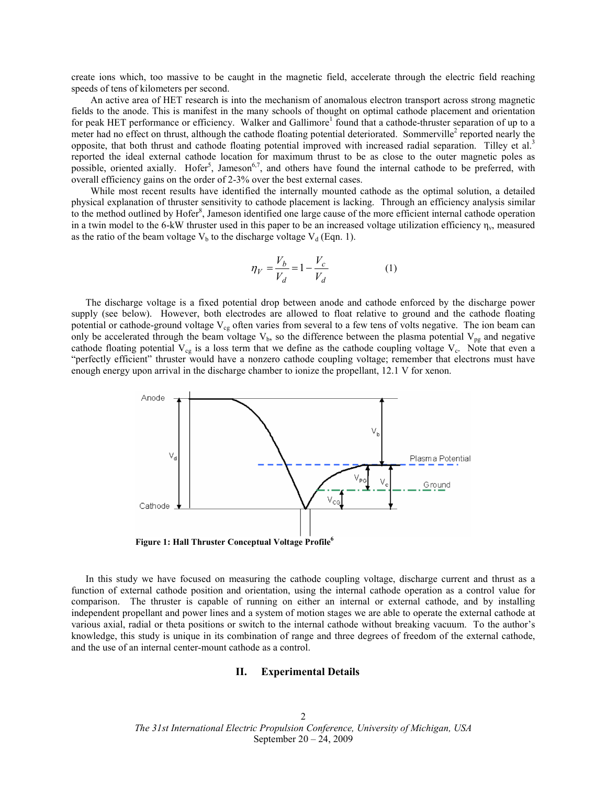create ions which, too massive to be caught in the magnetic field, accelerate through the electric field reaching speeds of tens of kilometers per second.

 An active area of HET research is into the mechanism of anomalous electron transport across strong magnetic fields to the anode. This is manifest in the many schools of thought on optimal cathode placement and orientation for peak HET performance or efficiency. Walker and Gallimore<sup>1</sup> found that a cathode-thruster separation of up to a meter had no effect on thrust, although the cathode floating potential deteriorated. Sommerville<sup>2</sup> reported nearly the opposite, that both thrust and cathode floating potential improved with increased radial separation. Tilley et al.<sup>3</sup> reported the ideal external cathode location for maximum thrust to be as close to the outer magnetic poles as possible, oriented axially. Hofer<sup>5</sup>, Jameson<sup>6,7</sup>, and others have found the internal cathode to be preferred, with overall efficiency gains on the order of 2-3% over the best external cases.

 While most recent results have identified the internally mounted cathode as the optimal solution, a detailed physical explanation of thruster sensitivity to cathode placement is lacking. Through an efficiency analysis similar to the method outlined by Hofer<sup>8</sup>, Jameson identified one large cause of the more efficient internal cathode operation in a twin model to the 6-kW thruster used in this paper to be an increased voltage utilization efficiency  $\eta_v$ , measured as the ratio of the beam voltage  $V_b$  to the discharge voltage  $V_d$  (Eqn. 1).

$$
\eta_V = \frac{V_b}{V_d} = 1 - \frac{V_c}{V_d} \tag{1}
$$

The discharge voltage is a fixed potential drop between anode and cathode enforced by the discharge power supply (see below). However, both electrodes are allowed to float relative to ground and the cathode floating potential or cathode-ground voltage  $V_{cg}$  often varies from several to a few tens of volts negative. The ion beam can only be accelerated through the beam voltage  $V_b$ , so the difference between the plasma potential  $V_{pg}$  and negative cathode floating potential  $V_{cg}$  is a loss term that we define as the cathode coupling voltage  $V_c$ . Note that even a "perfectly efficient" thruster would have a nonzero cathode coupling voltage; remember that electrons must have enough energy upon arrival in the discharge chamber to ionize the propellant, 12.1 V for xenon.



Figure 1: Hall Thruster Conceptual Voltage Profile<sup>6</sup>

In this study we have focused on measuring the cathode coupling voltage, discharge current and thrust as a function of external cathode position and orientation, using the internal cathode operation as a control value for comparison. The thruster is capable of running on either an internal or external cathode, and by installing independent propellant and power lines and a system of motion stages we are able to operate the external cathode at various axial, radial or theta positions or switch to the internal cathode without breaking vacuum. To the author's knowledge, this study is unique in its combination of range and three degrees of freedom of the external cathode, and the use of an internal center-mount cathode as a control.

## II. Experimental Details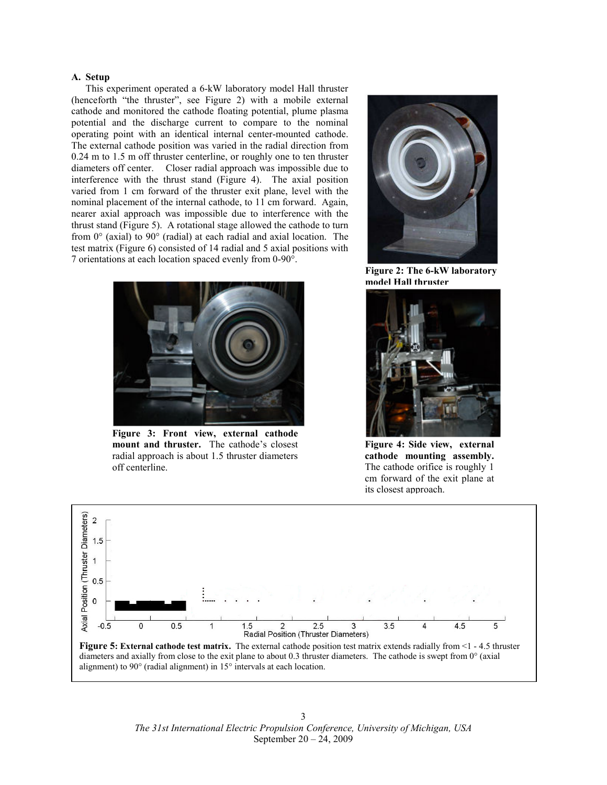## A. Setup

This experiment operated a 6-kW laboratory model Hall thruster (henceforth "the thruster", see Figure 2) with a mobile external cathode and monitored the cathode floating potential, plume plasma potential and the discharge current to compare to the nominal operating point with an identical internal center-mounted cathode. The external cathode position was varied in the radial direction from 0.24 m to 1.5 m off thruster centerline, or roughly one to ten thruster diameters off center. Closer radial approach was impossible due to interference with the thrust stand (Figure 4). The axial position varied from 1 cm forward of the thruster exit plane, level with the nominal placement of the internal cathode, to 11 cm forward. Again, nearer axial approach was impossible due to interference with the thrust stand (Figure 5). A rotational stage allowed the cathode to turn from 0° (axial) to 90° (radial) at each radial and axial location. The test matrix (Figure 6) consisted of 14 radial and 5 axial positions with 7 orientations at each location spaced evenly from 0-90°.



Figure 3: Front view, external cathode mount and thruster. The cathode's closest radial approach is about 1.5 thruster diameters off centerline.



Figure 2: The 6-kW laboratory model Hall thruster



Figure 4: Side view, external cathode mounting assembly. The cathode orifice is roughly 1 cm forward of the exit plane at its closest approach.

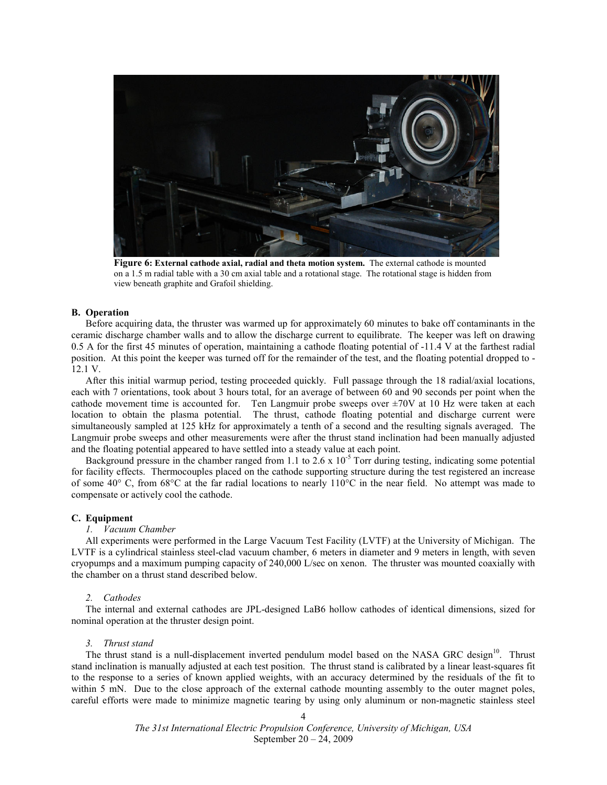

Figure 6: External cathode axial, radial and theta motion system. The external cathode is mounted on a 1.5 m radial table with a 30 cm axial table and a rotational stage. The rotational stage is hidden from view beneath graphite and Grafoil shielding.

## B. Operation

Before acquiring data, the thruster was warmed up for approximately 60 minutes to bake off contaminants in the ceramic discharge chamber walls and to allow the discharge current to equilibrate. The keeper was left on drawing 0.5 A for the first 45 minutes of operation, maintaining a cathode floating potential of -11.4 V at the farthest radial position. At this point the keeper was turned off for the remainder of the test, and the floating potential dropped to - 12.1 V.

After this initial warmup period, testing proceeded quickly. Full passage through the 18 radial/axial locations, each with 7 orientations, took about 3 hours total, for an average of between 60 and 90 seconds per point when the cathode movement time is accounted for. Ten Langmuir probe sweeps over ±70V at 10 Hz were taken at each location to obtain the plasma potential. The thrust, cathode floating potential and discharge current were simultaneously sampled at 125 kHz for approximately a tenth of a second and the resulting signals averaged. The Langmuir probe sweeps and other measurements were after the thrust stand inclination had been manually adjusted and the floating potential appeared to have settled into a steady value at each point.

Background pressure in the chamber ranged from 1.1 to 2.6 x  $10^{-5}$  Torr during testing, indicating some potential for facility effects. Thermocouples placed on the cathode supporting structure during the test registered an increase of some 40° C, from 68°C at the far radial locations to nearly 110°C in the near field. No attempt was made to compensate or actively cool the cathode.

# C. Equipment

# 1. Vacuum Chamber

All experiments were performed in the Large Vacuum Test Facility (LVTF) at the University of Michigan. The LVTF is a cylindrical stainless steel-clad vacuum chamber, 6 meters in diameter and 9 meters in length, with seven cryopumps and a maximum pumping capacity of 240,000 L/sec on xenon. The thruster was mounted coaxially with the chamber on a thrust stand described below.

## 2. Cathodes

The internal and external cathodes are JPL-designed LaB6 hollow cathodes of identical dimensions, sized for nominal operation at the thruster design point.

#### 3. Thrust stand

The thrust stand is a null-displacement inverted pendulum model based on the NASA GRC design<sup>10</sup>. Thrust stand inclination is manually adjusted at each test position. The thrust stand is calibrated by a linear least-squares fit to the response to a series of known applied weights, with an accuracy determined by the residuals of the fit to within 5 mN. Due to the close approach of the external cathode mounting assembly to the outer magnet poles, careful efforts were made to minimize magnetic tearing by using only aluminum or non-magnetic stainless steel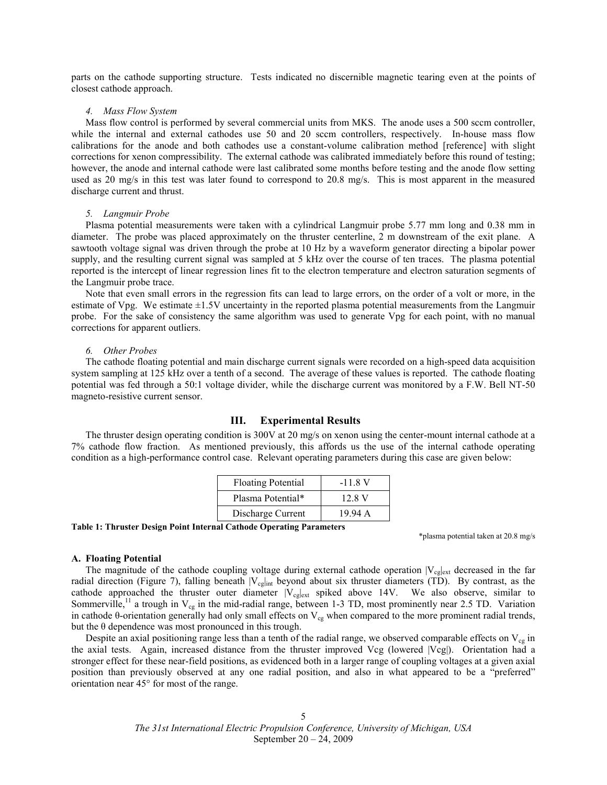parts on the cathode supporting structure. Tests indicated no discernible magnetic tearing even at the points of closest cathode approach.

#### 4. Mass Flow System

Mass flow control is performed by several commercial units from MKS. The anode uses a 500 sccm controller, while the internal and external cathodes use 50 and 20 sccm controllers, respectively. In-house mass flow calibrations for the anode and both cathodes use a constant-volume calibration method [reference] with slight corrections for xenon compressibility. The external cathode was calibrated immediately before this round of testing; however, the anode and internal cathode were last calibrated some months before testing and the anode flow setting used as 20 mg/s in this test was later found to correspond to 20.8 mg/s. This is most apparent in the measured discharge current and thrust.

#### 5. Langmuir Probe

Plasma potential measurements were taken with a cylindrical Langmuir probe 5.77 mm long and 0.38 mm in diameter. The probe was placed approximately on the thruster centerline, 2 m downstream of the exit plane. A sawtooth voltage signal was driven through the probe at 10 Hz by a waveform generator directing a bipolar power supply, and the resulting current signal was sampled at 5 kHz over the course of ten traces. The plasma potential reported is the intercept of linear regression lines fit to the electron temperature and electron saturation segments of the Langmuir probe trace.

Note that even small errors in the regression fits can lead to large errors, on the order of a volt or more, in the estimate of Vpg. We estimate ±1.5V uncertainty in the reported plasma potential measurements from the Langmuir probe. For the sake of consistency the same algorithm was used to generate Vpg for each point, with no manual corrections for apparent outliers.

### 6. Other Probes

The cathode floating potential and main discharge current signals were recorded on a high-speed data acquisition system sampling at 125 kHz over a tenth of a second. The average of these values is reported. The cathode floating potential was fed through a 50:1 voltage divider, while the discharge current was monitored by a F.W. Bell NT-50 magneto-resistive current sensor.

## III. Experimental Results

The thruster design operating condition is 300V at 20 mg/s on xenon using the center-mount internal cathode at a 7% cathode flow fraction. As mentioned previously, this affords us the use of the internal cathode operating condition as a high-performance control case. Relevant operating parameters during this case are given below:

| <b>Floating Potential</b> | $-11.8 V$ |
|---------------------------|-----------|
| Plasma Potential*         | 12.8 V    |
| Discharge Current         | 19.94 A   |

Table 1: Thruster Design Point Internal Cathode Operating Parameters

\*plasma potential taken at 20.8 mg/s

#### A. Floating Potential

The magnitude of the cathode coupling voltage during external cathode operation  $|V_{cg}|_{ext}$  decreased in the far radial direction (Figure 7), falling beneath  $|V_{cg}|_{int}$  beyond about six thruster diameters (TD). By contrast, as the cathode approached the thruster outer diameter  $|V_{cg}|_{ext}$  spiked above 14V. We also observe, similar to Sommerville,<sup>11</sup> a trough in  $V_{cg}$  in the mid-radial range, between 1-3 TD, most prominently near 2.5 TD. Variation in cathode θ-orientation generally had only small effects on  $V_{cg}$  when compared to the more prominent radial trends, but the θ dependence was most pronounced in this trough.

Despite an axial positioning range less than a tenth of the radial range, we observed comparable effects on  $V_{cg}$  in the axial tests. Again, increased distance from the thruster improved Vcg (lowered |Vcg|). Orientation had a stronger effect for these near-field positions, as evidenced both in a larger range of coupling voltages at a given axial position than previously observed at any one radial position, and also in what appeared to be a "preferred" orientation near 45° for most of the range.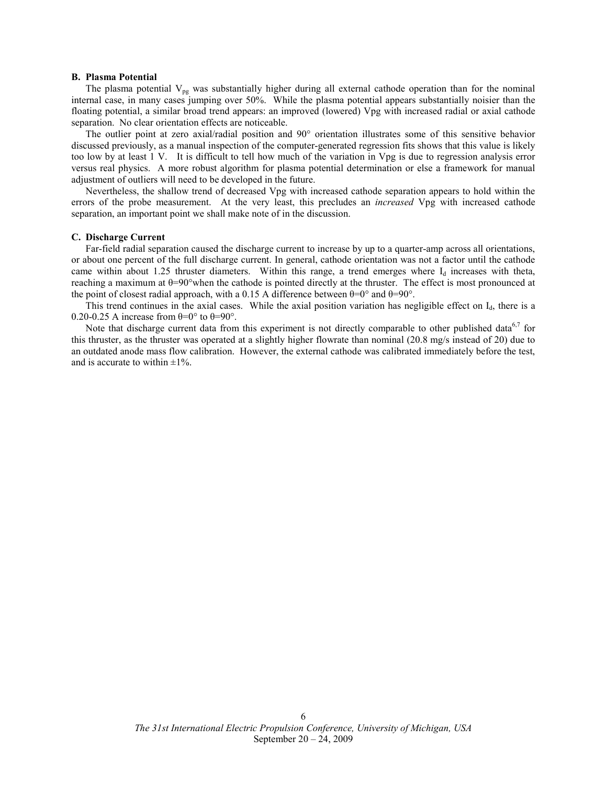## B. Plasma Potential

The plasma potential  $V_{pg}$  was substantially higher during all external cathode operation than for the nominal internal case, in many cases jumping over 50%. While the plasma potential appears substantially noisier than the floating potential, a similar broad trend appears: an improved (lowered) Vpg with increased radial or axial cathode separation. No clear orientation effects are noticeable.

The outlier point at zero axial/radial position and 90° orientation illustrates some of this sensitive behavior discussed previously, as a manual inspection of the computer-generated regression fits shows that this value is likely too low by at least 1 V. It is difficult to tell how much of the variation in Vpg is due to regression analysis error versus real physics. A more robust algorithm for plasma potential determination or else a framework for manual adjustment of outliers will need to be developed in the future.

Nevertheless, the shallow trend of decreased Vpg with increased cathode separation appears to hold within the errors of the probe measurement. At the very least, this precludes an *increased* Vpg with increased cathode separation, an important point we shall make note of in the discussion.

## C. Discharge Current

Far-field radial separation caused the discharge current to increase by up to a quarter-amp across all orientations, or about one percent of the full discharge current. In general, cathode orientation was not a factor until the cathode came within about 1.25 thruster diameters. Within this range, a trend emerges where  $I_d$  increases with theta, reaching a maximum at θ=90°when the cathode is pointed directly at the thruster. The effect is most pronounced at the point of closest radial approach, with a 0.15 A difference between  $θ=0°$  and  $θ=90°$ .

This trend continues in the axial cases. While the axial position variation has negligible effect on I<sub>d</sub>, there is a 0.20-0.25 A increase from  $\theta = 0^\circ$  to  $\theta = 90^\circ$ .

Note that discharge current data from this experiment is not directly comparable to other published data<sup>6,7</sup> for this thruster, as the thruster was operated at a slightly higher flowrate than nominal (20.8 mg/s instead of 20) due to an outdated anode mass flow calibration. However, the external cathode was calibrated immediately before the test, and is accurate to within  $\pm 1\%$ .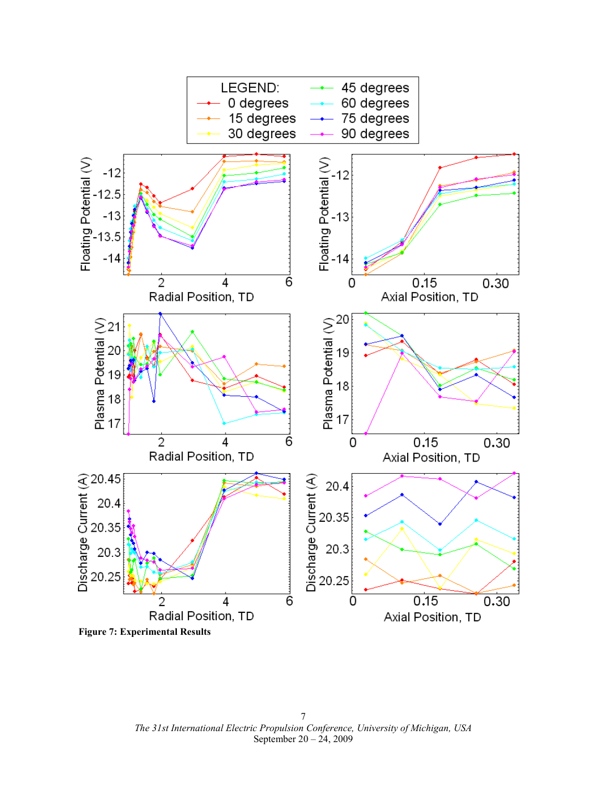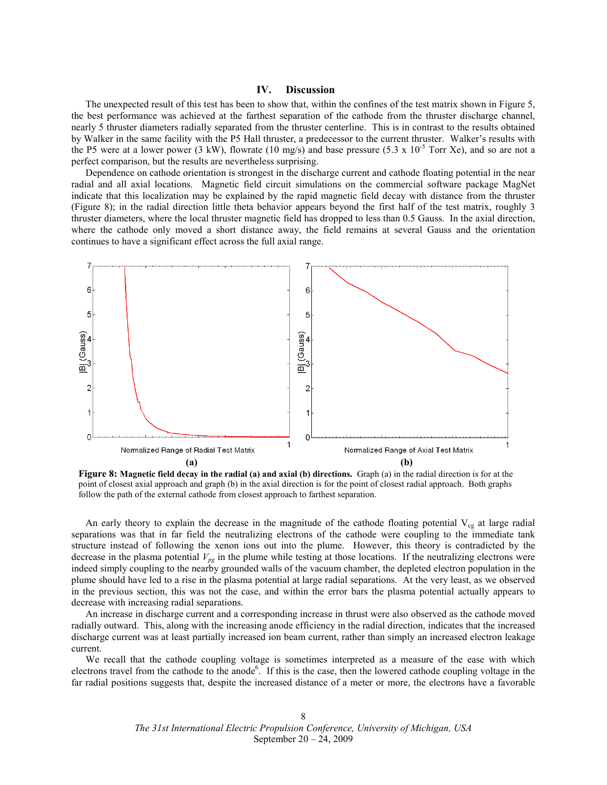# IV. Discussion

The unexpected result of this test has been to show that, within the confines of the test matrix shown in Figure 5, the best performance was achieved at the farthest separation of the cathode from the thruster discharge channel, nearly 5 thruster diameters radially separated from the thruster centerline. This is in contrast to the results obtained by Walker in the same facility with the P5 Hall thruster, a predecessor to the current thruster. Walker's results with the P5 were at a lower power (3 kW), flowrate (10 mg/s) and base pressure (5.3 x  $10^{-5}$  Torr Xe), and so are not a perfect comparison, but the results are nevertheless surprising.

Dependence on cathode orientation is strongest in the discharge current and cathode floating potential in the near radial and all axial locations. Magnetic field circuit simulations on the commercial software package MagNet indicate that this localization may be explained by the rapid magnetic field decay with distance from the thruster (Figure 8); in the radial direction little theta behavior appears beyond the first half of the test matrix, roughly 3 thruster diameters, where the local thruster magnetic field has dropped to less than 0.5 Gauss. In the axial direction, where the cathode only moved a short distance away, the field remains at several Gauss and the orientation continues to have a significant effect across the full axial range.



Figure 8: Magnetic field decay in the radial (a) and axial (b) directions. Graph (a) in the radial direction is for at the point of closest axial approach and graph (b) in the axial direction is for the point of closest radial approach. Both graphs follow the path of the external cathode from closest approach to farthest separation.

An early theory to explain the decrease in the magnitude of the cathode floating potential  $V_{cg}$  at large radial separations was that in far field the neutralizing electrons of the cathode were coupling to the immediate tank structure instead of following the xenon ions out into the plume. However, this theory is contradicted by the decrease in the plasma potential  $V_{pg}$  in the plume while testing at those locations. If the neutralizing electrons were indeed simply coupling to the nearby grounded walls of the vacuum chamber, the depleted electron population in the plume should have led to a rise in the plasma potential at large radial separations. At the very least, as we observed in the previous section, this was not the case, and within the error bars the plasma potential actually appears to decrease with increasing radial separations.

An increase in discharge current and a corresponding increase in thrust were also observed as the cathode moved radially outward. This, along with the increasing anode efficiency in the radial direction, indicates that the increased discharge current was at least partially increased ion beam current, rather than simply an increased electron leakage current.

We recall that the cathode coupling voltage is sometimes interpreted as a measure of the ease with which electrons travel from the cathode to the anode<sup>6</sup>. If this is the case, then the lowered cathode coupling voltage in the far radial positions suggests that, despite the increased distance of a meter or more, the electrons have a favorable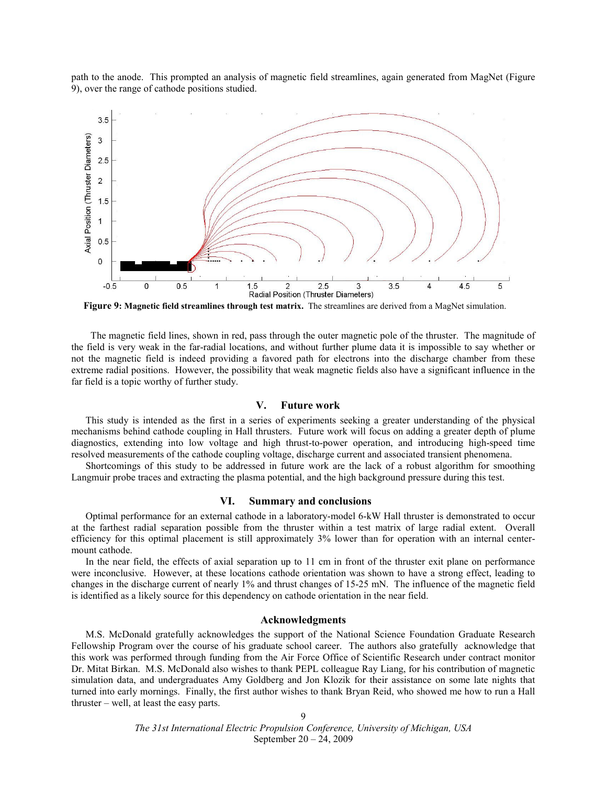path to the anode. This prompted an analysis of magnetic field streamlines, again generated from MagNet (Figure 9), over the range of cathode positions studied.



Figure 9: Magnetic field streamlines through test matrix. The streamlines are derived from a MagNet simulation.

 The magnetic field lines, shown in red, pass through the outer magnetic pole of the thruster. The magnitude of the field is very weak in the far-radial locations, and without further plume data it is impossible to say whether or not the magnetic field is indeed providing a favored path for electrons into the discharge chamber from these extreme radial positions. However, the possibility that weak magnetic fields also have a significant influence in the far field is a topic worthy of further study.

# V. Future work

This study is intended as the first in a series of experiments seeking a greater understanding of the physical mechanisms behind cathode coupling in Hall thrusters. Future work will focus on adding a greater depth of plume diagnostics, extending into low voltage and high thrust-to-power operation, and introducing high-speed time resolved measurements of the cathode coupling voltage, discharge current and associated transient phenomena.

Shortcomings of this study to be addressed in future work are the lack of a robust algorithm for smoothing Langmuir probe traces and extracting the plasma potential, and the high background pressure during this test.

# VI. Summary and conclusions

Optimal performance for an external cathode in a laboratory-model 6-kW Hall thruster is demonstrated to occur at the farthest radial separation possible from the thruster within a test matrix of large radial extent. Overall efficiency for this optimal placement is still approximately 3% lower than for operation with an internal centermount cathode.

In the near field, the effects of axial separation up to 11 cm in front of the thruster exit plane on performance were inconclusive. However, at these locations cathode orientation was shown to have a strong effect, leading to changes in the discharge current of nearly 1% and thrust changes of 15-25 mN. The influence of the magnetic field is identified as a likely source for this dependency on cathode orientation in the near field.

# Acknowledgments

M.S. McDonald gratefully acknowledges the support of the National Science Foundation Graduate Research Fellowship Program over the course of his graduate school career. The authors also gratefully acknowledge that this work was performed through funding from the Air Force Office of Scientific Research under contract monitor Dr. Mitat Birkan. M.S. McDonald also wishes to thank PEPL colleague Ray Liang, for his contribution of magnetic simulation data, and undergraduates Amy Goldberg and Jon Klozik for their assistance on some late nights that turned into early mornings. Finally, the first author wishes to thank Bryan Reid, who showed me how to run a Hall thruster – well, at least the easy parts.